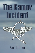# The Gamov Incident

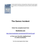

*In today's Russian Far East, an older gentleman walks into the newly opened U.S. consulate in Vladivostok and claims to be an American aviator, perhaps the lone survivor of a reconnaissance aircraft shot down by Soviet MiGs in 1954.*

## **The Gamov Incident**

### **Order the complete book from**

#### **Booklocker.com**

http://www.booklocker.com/p/books/2578.html?s=pdf

#### **or from your favorite neighborhood or online bookstore.**

**Your free excerpt appears below. Enjoy!**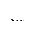### **The Gamov Incident**

**Sam Lutton**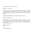Copyright © 2015 by Samuel J. Lutton

ISBN: 978-1-59113-921-8

All rights reserved. No part of this publication may be reproduced, stored in a retrieval system, or transmitted in any form or by any means, electronic, mechanical, recording or otherwise, without the prior written permission of the author.

Published by BookLocker.com, Inc., Bradenton, Florida, U.S.A.

Printed on acid-free paper.

Although based on an actual shootdown incident, this book is a work of fiction. The characters and events are either fictitious or are used fictitiously. Any similarity to real persons, living or dead, is coincidental and not intended by the author.

Booklocker.com, Inc. 2015

First Edition (Revised)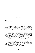#### Chapter 1

Vladivostok Russian Federation September 1992

Cody Ballantine pushed open the heavy glass door to Number 32 Pushkinskaya—a featureless redbrick building perched on the bayside slope of a long-neglected city—and strode into America's newest consulate. The temperature inside the lobby was slightly warmer than the frost-tinged air outside—an early morning chill foreshadowing the relentless approach of Siberian winter.

The Duty Officer, a fair-complexioned, thick-shouldered man in his early thirties, stood behind a waist-high reception desk anchored a few yards beyond the marble-tiled main entrance. "Good Morning, Boss," the DO said as Cody approached.

"Hello, Paul. Anything interesting happen overnight?"

The DO's expression soured, as though he had bitten into a wormy peach. "You mean here, or someplace pleasant and exciting?"

"Are you suggesting Vladivostok is drab and boring?"

Studied innocence replaced the dour expression. "Drab? Boring? Of course not. It has everything a brooding recluse could possibly want. Howard Hughes would love it."

"Howard Hughes is dead," Cody observed.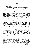"Well, there you go."

Cody stepped into an elevator and pressed the numeral '3'.

Although he would never express it outwardly, Cody shared the DO's gloomy point of view. Except for the *Vory v Zakone* organized criminals who operated a thriving black market—the largest city in the Russian Far East would never challenge Europe's grander capitals for intrigue, architectural elegance, or political duplicity. Among Cody's associates in the CIA, Vladivostok and the phrase 'small potatoes' were synonymous. His recent banishment to a desolate outpost in a far corner of Russia offered one last chance to revive his moribund career—or perhaps end it. As far as Cody was concerned it did not matter which of the two occurred, a bothersome fact he would likewise keep to himself.

The elevator doors slid open and Cody turned left down a wide corridor. He paused in a small reception area expecting to find his assistant, but Phyllis was nowhere in sight. Coffee dribbled from the machine into a Pyrex pot, filling the air with freshly roasted Arabica.

He unlocked his office door and stepped inside. The telephone Message Waiting light blinked impatiently, filling the dimly lighted room with an intermittent ruby glow. He flicked on the overhead lights and hung his overcoat in the closet. Then he visited the coffee maker, filled a porcelain mug and added a dribble of fresh cream.

Armed with morning brew, Cody settled himself behind the desk and took a careful sip. It was, as usual, perfect. He set the mug on a coaster, picked up the telephone, keyed his access code, and then listened to the message.

*"Hi, Cody. Al Jensen here. It seems the Company has finally recognized true talent and posted your sorry ass to Siberia, metaphorically and* actually*."* The Moscow station chief's goodnatured chuckle echoed from the handset. *"All kidding aside, most of us have screwed up at one time or another. It's the unfortunate consequence of what we do for a living. You are not the first guy to stub his toe in the Balkans and you won't be the last. There's something spooky about that part of Europe—pun intended. Anyway, give me a call if you want to chat about the New Russia, or anything*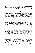*else for that matter. You might also want to think about King Solomon's advice. Meanwhile, keep your dobber up."* 

The recorder stopped and the red light blinked out. He replaced the handset and sipped more coffee.

Cody's precipitous fall from grace four months ago still provided grist for the Agency's gossip mill. Most field agents, including Al Jensen, truly sympathized. However, as one might expect, the majority of Langley's stay-at-home careerists quietly welcomed the potential elimination of a professional rival. Their bogus commiserations reinforced Cody's belief that deception and hypocrisy were easily acquired human traits, especially in an organization that valued expertise in those unsavory but oftennecessary practices.

He felt himself slipping into a cynical mood, a mental state that occurred with greater frequency these days, a sure sign he might be losing his edge. Cody found this troubling. Wallowing in self-pity was a pathetic exercise, a loathsome practice he abhorred. Winning and losing were normal outcomes of his profession. As the saying went: *Some days you eat the bear; some days the bear eats you.* In Bosnia, the proverbial bear had feasted on Fricassee of Cody Ballantine.

Al Jensen's reference to the Aramaic inscription etched inside King Solomon's golden ring was a reminder that victories and defeats were transitory—and often illusory. The biblical king's words, advice first brought to Cody's attention by the same Al Jensen, initially a mentor and now one of his few friends, emerged from memory: *This too shall pass*.

Well, maybe it would, and maybe it wouldn't.

He pushed those thoughts aside, checked his Breitling chronograph and subtracted seven time zones. It was two A.M. in the Russian capitol, a six thousand mile westward journey along the Trans-Siberian Railway. He made a mental note to return Al's call later in the day.

The intercom buzzed and he lifted the handset. "Good morning, Phyllis."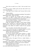"How did you sneak by me, Cody? I left my desk for ten seconds<sup>"</sup>

"Oh, you know. Stealth, guile and some other stuff I'm not supposed to talk about."

"Yeah, right. Why do I bother to ask? Anyway, Paul is on line one."

"Thanks, Phyllis."

Had the Duty Officer remembered something? Cody pushed a lighted plastic button. "What's up, Paul?"

"Sorry to interrupt your morning coffee, but there's a gentleman in our lobby, a stranger who's not on the Authorized Visitor list. He insists on speaking with the Consul General."

"And you called *me* because…" Cody let the question dangle.

"Mr. Zane said you should handle this."

Unlike the banished CIA officer, Consul General Whittier Hancock Zane considered his Vladivostok posting the crowning achievement to a long career in America's Foreign Service. One's perspective, Cody mused, was indeed a matter of one's personal situation.

"I see," he replied. "And why did Mr. Zane say that?"

"First, he was on his way to a meeting. Second, he said the situation appeared to be something you ought to handle."

"Really? What exactly does our gentleman visitor want?"

"He won't say. Not to me, that is."

Cody felt his internal warning light switching to a higher intensity, a psychologically wary status a notch or two below maximum. "Who is this guy, Paul? Does he have proper identification?"

"Yes, he does. His papers ID him as Andrei Danilov, a Russian citizen."

Cody sensed hesitation—a reluctance to volunteer extraneous information—and wondered whether the DO was another hapless exile, perhaps condemned to vile durance for excessive chattiness.

"What else did he tell you, Paul?"

"The gentleman claims to be an American citizen, one who arrived here under unusual circumstances."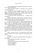Cody's grip tightened on the handset, then relaxed. "And what do you suppose that means?"

"I have no idea. Mr. Danilov is unwilling to convey anything additional at this time."

Cody did not respond immediately. Memories of his recent Balkan assignment and the terrible calamity arising from bad judgment and misplaced loyalty came to mind. He toyed with the coffee mug while he considered possibilities.

An American citizen with Russian ID? …in Siberia? How could that be?

Because Vladivostok served as home to the Russian Navy's Pacific Fleet, the Soviets had closed the aging port city to all nonresidents and foreigners for more than thirty years.

In light of the Soviet Union's collapse, that particular Cold War restriction no longer applied. The once-formidable USSR was dead, a victim of self-inflicted economic and social wounds. The city's reopening signaled a major shift in the political atmosphere.

Could this 'gentleman' be a deep cover agent seeking refuge? Cody doubted it. Other than covert operatives already in place, he had no information regarding additional clandestine assets in this part of the world. On the other hand, a nasty little scheme perpetrated by the discredited but still mischievous KGB wasn't out of the question either.

After a moment he said, "I'm coming down, Paul. Please escort Mr. Danilov to the visitor's conference room and keep an eye on him."

"Will do."

He broke the connection and buzzed Phyllis. She picked up immediately.

"Is Colonel Butler in his office?" Cody asked.

"Yes, I believe so."

"Please have him meet me near the first floor elevator."

"You mean right now?"

"Sooner, if possible."

"I'll track him down."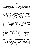Five minutes later, Cody approached the conference room accompanied by the military attaché, an Air Force lieutenant colonel. Like Cody, Butler wore a worsted wool Navy blue suit, a buttondown collared white shirt, and regimental striped tie. Although similar, their neckties did not match exactly. Cody found that happenstance mildly comforting.

The DO, similarly attired, stood beside the door. "Mr. Danilov is waiting inside," he confirmed. "Other than a thick document stashed inside a briefcase, the gentleman is clean."

"Thanks, Paul," Cody replied. With enormous effort, he restrained himself from making a derisive 'Three Musketeers' remark. Instead, he silently vowed to retire his Navy blue suit. Or perhaps burn it.

The Duty Officer headed back toward his station in the lobby.

Cody stepped into the oak-paneled conference room trailed by the attaché. Andrei Danilov stood facing the picture window, his posture erect, arms folded across his chest. Beyond the window, Golden Horn Bay glittered in weak autumn sunlight.

A heavy gray overcoat and matching fur cap lay across one chair. Nearby, a fat leather briefcase squatted beside the conference room table. Danilov turned, dropped his arms and smiled politely. Cody studied his unexpected guest.

If one ignored the mediocre Russian-made suit and shoes, Danilov did indeed project a gentleman's demeanor. Neat and cleanshaven, his clear brown eyes reflected guarded intelligence, like those of a chess master facing a highly rated opponent. The suit and shoes, although pressed and shined, contrasted with the imported cotton shirt and patterned silk tie, evidence Danilov shopped restricted access stores or had black market connections; perhaps both. Overall, his appearance and manner were those of an alert, moderately prosperous senior citizen.

"Good Morning, Mr. Danilov. I am Cody Ballantine, the Consul General's personal envoy. And this," he nodded toward the Air Force officer, "is Mr. Butler, my associate." Not exactly the complete truth, he reflected—maybe not even close, but good enough for the time being. "Mr. Zane is engaged in another matter and regrets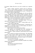his absence. Rather than have you wait, he asked me to represent him"

Danilov nodded, apparently satisfied with the explanation. "Then I bid you good morning, gentlemen." His smooth, resonant voice lacked the thick, easily identified Slavic accent. "And thank you for seeing me without an appointment."

The courteous reply notwithstanding, the old man followed Cody's example and did not extend his hand in greeting. That was noteworthy. Offering to shake hands when his American host did not might seem obsequious, thus placing the Russian at a psychological disadvantage. It was an interesting facet to Danilov's frame of mind.

"Not at all," Cody replied. "How might we be of service?"

"Before we get into that," the Russian began, "if you don't mind, may I confirm your identities, please?"

"Is that supposed to be a joke?" Colonel Butler said. The attaché's voice carried a slight edge.

Danilov's apologetic tone seemed genuine. "I understand your indignation sir, and please forgive my bad manners, but allow a cautious old man this small courtesy."

Butler looked at Cody and raised an eyebrow.

The question was unexpected but Cody maintained his composure. "Mr. Danilov," he said. "May I first see your papers?"

"Certainly." Danilov produced a small booklet from an inside jacket pocket.

Cody scanned the passport-sized document. The photograph revealed a much younger Andrei Ivanovich Danilov. His hair, still thick, was much grayer now. Cyrillic text on the opposite page contained personal information. Assuming his papers were authentic, Danilov was sixty-three years old.

"I see you live in Ussurijsk," Cody said.

"Yes, I have an apartment on Blyukher Prospekt, easy walking distance to my employer."

"Which is?"

"The Primorski Agricultural Institute."

"Do you teach there?"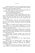Danilov shook his head. "I work as a linguist for the Institute's Department of Agronomy. I translate agricultural textbooks, journals and research papers from English to Russian."

That might explain the man's excellent pronunciation and vocabulary. "Do you enjoy your work?" Cody asked.

"I find it interesting and challenging."

Cody returned the identification. "How so?"

"For the most part, scientists and researchers rarely seek to inform the general population of their findings. Instead, they write to impress each other. The harder they try, the less coherent they become. I often restructure their prose to better explain what they actually mean."

Cody suppressed a smile. His visitor possessed intelligence *and* a wry sense of humor, character traits common among many Russians. "I see. Well, you've traveled a long way this morning, haven't you?"

"Indeed. One hundred and ten kilometers along the Trans-Siberian Railway is a great distance. Vladivostok, as the train conductors say, is the end of the line. Perhaps that phrase may prove accurate for other things as well."

The Russian's words seemed carefully chosen, the inflections deliberately applied. Was he alluding to a hidden past or an uncertain future? Cody's earlier belief, that Danilov was *not* an American deep cover agent, began to waver.

Colonel Butler, obviously impatient with nuance and philosophical small talk, pressed the issue. "How might we assist you, Mr. Danilov?"

"First, your credentials please."

"Of course." Cody offered his ID. After a slight hesitation, Butler followed suit.

Danilov tilted the laminated plastic cards against the fluorescent lighting, his eyes lingering on the diplomatic identification. "Thank you, gentlemen. I appreciate your indulgence." He returned the cards.

Despite his long-cultivated professional deportment, Cody found it difficult to conceal his growing interest. Danilov seemed to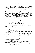exude *substance*, a hard-to-define quality Cody immediately recognized. Not exactly an aura, he supposed, but something similar. The word 'gravitas' came to mind, and experience taught him that such men warranted careful scrutiny. He said, "At the risk of repeating ourselves, what can we do for you, sir?"

Danilov responded with a slight downturn of his lips. Quiet resignation flickered across the Russian's face followed by a look of determined reluctance. It seemed as though the old man had no choice but to commit an irrevocable act. Finally he said, "Mr. Ballantine, please be advised that my name is not Andrei Danilov. I am, in fact, a native born American citizen."

"So the Duty Officer told me." Cody nodded toward the leather briefcase resting on the floor. "I presume you have convincing evidence that you wish to present?"

"I do, but it is not in my valise."

"I see. Then what are you offering as proof?"

"Only the truth."

"Candor is a wise approach, especially when accompanied by reliable documentation."

"Mr. Ballantine, such documents exist, I assure you, but they are not in my possession."

"Oh? Then where are they?"

"In the United States, presumably hidden away and moldering in some dusty archive."

Cody noted Danilov's word choice: *archive*, a repository for older, perhaps historically relevant documents, rather than *file*, a term generally used to delineate records that are more current. Was that another subtle reference to his past?

"We can look into that," Cody said, "and we shall, once you provide us with some basic information."

"I understand."

"You told the Duty Officer you arrived here under unusual circumstances. What, exactly, does that mean?"

Danilov's resigned expression gave way to firm resolve, as though he had struggled with difficult questions before reaching a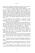decision. Now, apparently committed, he seemed to grow taller, an unexpected transformation Cody found mildly disconcerting.

"I was—am—Captain Andrew George Thompson, United States Air Force, serial number 45935A." His eyes strayed for a moment to Butler, who did not respond. Danilov continued: "On August 3, 1954, Russian MiG fighter planes intercepted, fired upon, and destroyed my electronic surveillance aircraft, a four-engine RB-50 manned by fourteen crewmen. The attack occurred in international airspace, approximately fifteen miles south of Cape Gamov, over the Sea of Japan. That incident happened thirty-eight years ago last month."

He paused and his face clouded for a moment as though bewildered. Then his voice softened to a disbelieving murmur. "Thirty-eight *years*? How is that possible?"

In the brief silence that followed, Cody sensed that Danilov's mind was somewhere else, perhaps visiting a bizarre universe where the past folded itself into the present; where one's future became knowable and terrifying and unchangeable—a madhouse of asynchronous realities from which there was no respite or escape.

The old man's eyes refocused and he fixed Cody with a granite stare. "Sometimes, what life demands of us is difficult to accept, yet what I say is true. It now appears history and circumstances have given me an opportunity to return home and perhaps correct the official record."

From the corner of his eye, Cody saw Butler's lips compress into a thin line. The next questions were obvious. Cody spoke to his guest: "Your aircraft had a crew of fourteen? Are there others like you?"

"Perhaps, but I cannot be certain. Including the gentleman out front, you three are the only Americans I have spoken with since my capture."

Cody, unsure how to proceed, stalled for time. "I see. Well, as you might imagine, I have no knowledge of that specific event, Mr. Danilov<sup>"</sup>

A true statement, Cody admitted, but he also knew that incidents between Russian and American aircraft had been a common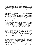occurrence during the Cold War. Colonel Butler, who might have more knowledge about such events, remained silent, thus allowing the CIA officer to lead the discussion, a courtesy Cody appreciated. What he did *not* want, at least at this moment, was the attaché to confirm or corroborate any of what Danilov claimed.

"I am Drew Thompson," Danilov insisted. Then a halfsheepish expression creased his face. "I have not spoken that name in a long time. Nevertheless, it *is* mine."

"With all due respect sir," Cody said, resuming his original line of inquiry, "we require a bit more than your word. Do you have any kind of reliable evidence to substantiate your claim?"

Danilov extended both hands, palms up. "I have these. Take my fingerprints. I presume the consulate has such facilities. Send them to Washington. Check them against archival records. You may also take x-rays. I lost two molars and acquired several more fillings—stainless steel of course—but dental records, along with fingerprints, will verify my identity beyond doubt. Do you agree?"

Cody's mind raced. What in hell was going on here? Danilov looked healthy and affluent, the antithesis of the bedraggled Russian citizen. How could an American military officer survive and prosper for nearly *four decades* in Russian captivity? Had he compromised himself? Were there others like him? Finally, and perhaps more interesting, what was he carrying in that damned briefcase—*valise*? Cody's thoughts leaped beyond the present.

If Danilov was indeed a captured, uncompromised American airman and his ordeal became known—as it surely would—then public outrage would be difficult to contain. No amount of *glasnost*, the improved atmosphere between the United States and grudgingly democratic Russia, could diminish America's compassion for soldiers who suffered captivity while serving their country. Likewise, there were the families of those servicemen who remained unaccounted for—relatives who stubbornly held out hope for missing husbands, fathers, sons, and brothers.

Although Cody felt growing anticipation, bitter experience and long hours of training tempered his enthusiasm. He thought about all those courses and seminars in behavior analysis—ideas rooted in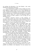the teachings and philosophy of one Jack Paraday: a late, sorely lamented CIA interrogator and lecturer.

"Every human being is capable of lying," Paraday once told a small audience of Agency operatives, one of whom happened to be Cody. "Whether president or pope, every man, woman, and child will, under the right set of circumstances, tell an outright lie; or, at best, conceal unpleasant facts or embarrassing information. In this unusual business we have chosen for a career, the natural-born ability to willfully mislead our fellow creatures is the one thing you can absolutely rely on."

Paraday's instruction focused on body language, eye movement, facial gestures, and a host of other techniques. However, schooling in those same methods had occurred on the other side. In short, everyone in CIA and KGB became expert at telling and concealing lies. To Cody, it seemed like a zero sum game.

However, Jack Paraday—a man of extraordinary ability—had also possessed an infallible gift. The aging cold warrior could somehow determine precisely when an individual lied. His oftenproved talent was one of those rare, sometimes scary abilities that appear randomly among human beings every now and then. Some believed Paraday was a true psychic, a genius perhaps; others thought him a savant, or maybe a borderline psychopath. Differing opinions notwithstanding, one might fool a polygraph or another skilled interrogator, but one could never slip a lie past old man Paraday.

Cody, not similarly gifted, fully understood his shortcoming.

Yet, despite that caution, his curiosity nagged like an unsatisfied itch; he wanted to begin his questioning immediately, to hear Danilov's story and probe for weaknesses. That approach was not possible, not yet, not without first briefing the Consul General and certainly not before informing his boss in Washington. Already treading on thin ice, Cody suppressed his natural instinct to push forward; instead, he chose what seemed like the next logical step.

He said, "Yes, what you suggest is a good place to start. Taking your fingerprints will not be a problem and we even have a portable x-ray machine in the dispensary. I'm sure someone even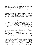knows how it works. First things first however: Are you requesting asylum and safe-housing inside the consulate?"

The old man shook his head. "Not at this time. Much has changed here. The communist apparatus is dysfunctional. The Interior Ministry, what is left of it, no longer follows me or monitors my activities. Like most Federation citizens nowadays, I come and go as funds allow, not as the MVD dictates. Until my true identity is confirmed however, I should continue my life as before."

Danilov's logic made sense. After decades of living inside the Soviet state, prematurely committing himself to a course of action was probably unwise. Assuming, of course, the man was indeed who he claimed to be.

"Are you on holiday today?" Cody asked.

"No, I work four days each week. This is my scheduled day off." He lifted one shoulder, a tiny gesture. "The perquisites of old age. I am not due back at the Institute until Monday morning."

"I see," Cody said. "However, as you may already know, the verification process could be lengthy. Today is Friday. We will send your photograph and fingerprints, along with the Consul General's report, to Moscow via the afternoon courier. They will forward the originals to Washington, probably by Monday. The findings should arrive here the latter part of next week, or possibly not until the week after."

The heavy hitters in Washington would no doubt offer guidance regarding next steps; recommendations Cody intended to follow without deviation. Still, the process would take time.

"Mr. Danilov, if necessary may I contact you at the Institute?"

"I would prefer you did not."

Although the firm response was not surprising, Cody's professional curiosity remained piqued. He desperately wanted to probe for personal information: hometown, schools attended, and details regarding the shootdown. Equally important, he also wanted to explore the possibility of other survivors. Still, questions asked prematurely—or due to ignorance—could add credence to Danilov's claim. That approach might also conflict with specific directions from